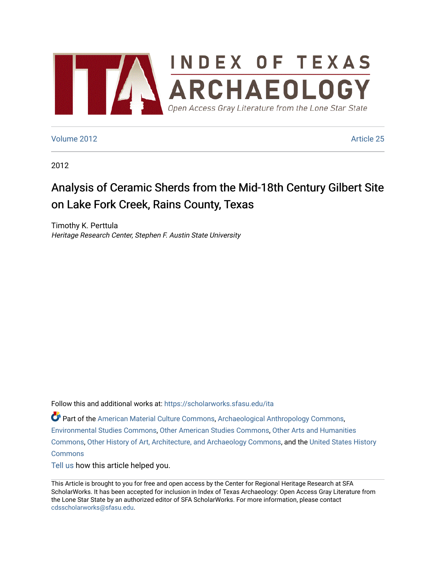

# [Volume 2012](https://scholarworks.sfasu.edu/ita/vol2012) [Article 25](https://scholarworks.sfasu.edu/ita/vol2012/iss1/25)

2012

# Analysis of Ceramic Sherds from the Mid-18th Century Gilbert Site on Lake Fork Creek, Rains County, Texas

Timothy K. Perttula Heritage Research Center, Stephen F. Austin State University

Follow this and additional works at: [https://scholarworks.sfasu.edu/ita](https://scholarworks.sfasu.edu/ita?utm_source=scholarworks.sfasu.edu%2Fita%2Fvol2012%2Fiss1%2F25&utm_medium=PDF&utm_campaign=PDFCoverPages) 

Part of the [American Material Culture Commons,](http://network.bepress.com/hgg/discipline/442?utm_source=scholarworks.sfasu.edu%2Fita%2Fvol2012%2Fiss1%2F25&utm_medium=PDF&utm_campaign=PDFCoverPages) [Archaeological Anthropology Commons,](http://network.bepress.com/hgg/discipline/319?utm_source=scholarworks.sfasu.edu%2Fita%2Fvol2012%2Fiss1%2F25&utm_medium=PDF&utm_campaign=PDFCoverPages) [Environmental Studies Commons,](http://network.bepress.com/hgg/discipline/1333?utm_source=scholarworks.sfasu.edu%2Fita%2Fvol2012%2Fiss1%2F25&utm_medium=PDF&utm_campaign=PDFCoverPages) [Other American Studies Commons](http://network.bepress.com/hgg/discipline/445?utm_source=scholarworks.sfasu.edu%2Fita%2Fvol2012%2Fiss1%2F25&utm_medium=PDF&utm_campaign=PDFCoverPages), [Other Arts and Humanities](http://network.bepress.com/hgg/discipline/577?utm_source=scholarworks.sfasu.edu%2Fita%2Fvol2012%2Fiss1%2F25&utm_medium=PDF&utm_campaign=PDFCoverPages) [Commons](http://network.bepress.com/hgg/discipline/577?utm_source=scholarworks.sfasu.edu%2Fita%2Fvol2012%2Fiss1%2F25&utm_medium=PDF&utm_campaign=PDFCoverPages), [Other History of Art, Architecture, and Archaeology Commons,](http://network.bepress.com/hgg/discipline/517?utm_source=scholarworks.sfasu.edu%2Fita%2Fvol2012%2Fiss1%2F25&utm_medium=PDF&utm_campaign=PDFCoverPages) and the [United States History](http://network.bepress.com/hgg/discipline/495?utm_source=scholarworks.sfasu.edu%2Fita%2Fvol2012%2Fiss1%2F25&utm_medium=PDF&utm_campaign=PDFCoverPages)  **[Commons](http://network.bepress.com/hgg/discipline/495?utm_source=scholarworks.sfasu.edu%2Fita%2Fvol2012%2Fiss1%2F25&utm_medium=PDF&utm_campaign=PDFCoverPages)** 

[Tell us](http://sfasu.qualtrics.com/SE/?SID=SV_0qS6tdXftDLradv) how this article helped you.

This Article is brought to you for free and open access by the Center for Regional Heritage Research at SFA ScholarWorks. It has been accepted for inclusion in Index of Texas Archaeology: Open Access Gray Literature from the Lone Star State by an authorized editor of SFA ScholarWorks. For more information, please contact [cdsscholarworks@sfasu.edu.](mailto:cdsscholarworks@sfasu.edu)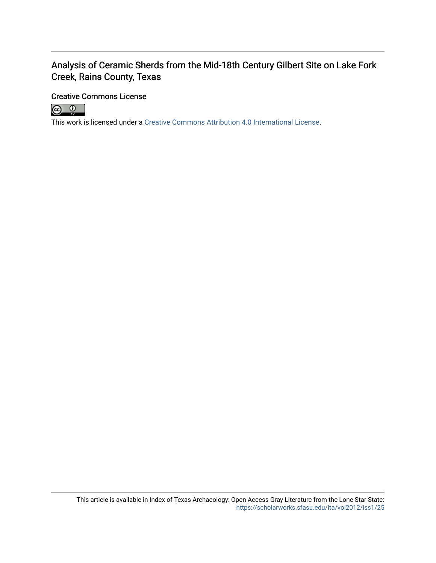# Analysis of Ceramic Sherds from the Mid-18th Century Gilbert Site on Lake Fork Creek, Rains County, Texas

# Creative Commons License



This work is licensed under a [Creative Commons Attribution 4.0 International License.](https://creativecommons.org/licenses/by/4.0/)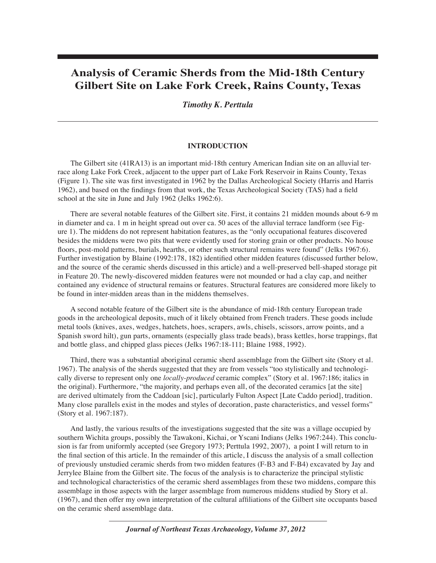# **Analysis of Ceramic Sherds from the Mid-18th Century Gilbert Site on Lake Fork Creek, Rains County, Texas**

# *Timothy K. Perttula*

#### **INTRODUCTION**

The Gilbert site (41RA13) is an important mid-18th century American Indian site on an alluvial terrace along Lake Fork Creek, adjacent to the upper part of Lake Fork Reservoir in Rains County, Texas (Figure 1). The site was first investigated in 1962 by the Dallas Archeological Society (Harris and Harris 1962), and based on the findings from that work, the Texas Archeological Society (TAS) had a field school at the site in June and July 1962 (Jelks 1962:6).

There are several notable features of the Gilbert site. First, it contains 21 midden mounds about 6-9 m in diameter and ca. 1 m in height spread out over ca. 50 aces of the alluvial terrace landform (see Figure 1). The middens do not represent habitation features, as the "only occupational features discovered besides the middens were two pits that were evidently used for storing grain or other products. No house floors, post-mold patterns, burials, hearths, or other such structural remains were found" (Jelks 1967:6). Further investigation by Blaine (1992:178, 182) identified other midden features (discussed further below, and the source of the ceramic sherds discussed in this article) and a well-preserved bell-shaped storage pit in Feature 20. The newly-discovered midden features were not mounded or had a clay cap, and neither contained any evidence of structural remains or features. Structural features are considered more likely to be found in inter-midden areas than in the middens themselves.

A second notable feature of the Gilbert site is the abundance of mid-18th century European trade goods in the archeological deposits, much of it likely obtained from French traders. These goods include metal tools (knives, axes, wedges, hatchets, hoes, scrapers, awls, chisels, scissors, arrow points, and a Spanish sword hilt), gun parts, ornaments (especially glass trade beads), brass kettles, horse trappings, flat and bottle glass, and chipped glass pieces (Jelks 1967:18-111; Blaine 1988, 1992).

Third, there was a substantial aboriginal ceramic sherd assemblage from the Gilbert site (Story et al. 1967). The analysis of the sherds suggested that they are from vessels "too stylistically and technologically diverse to represent only one *locally-produced* ceramic complex" (Story et al. 1967:186; italics in the original). Furthermore, "the majority, and perhaps even all, of the decorated ceramics [at the site] are derived ultimately from the Caddoan [sic], particularly Fulton Aspect [Late Caddo period], tradition. Many close parallels exist in the modes and styles of decoration, paste characteristics, and vessel forms" (Story et al. 1967:187).

And lastly, the various results of the investigations suggested that the site was a village occupied by southern Wichita groups, possibly the Tawakoni, Kichai, or Yscani Indians (Jelks 1967:244). This conclusion is far from uniformly accepted (see Gregory 1973; Perttula 1992, 2007), a point I will return to in the final section of this article. In the remainder of this article, I discuss the analysis of a small collection of previously unstudied ceramic sherds from two midden features (F-B3 and F-B4) excavated by Jay and Jerrylee Blaine from the Gilbert site. The focus of the analysis is to characterize the principal stylistic and technological characteristics of the ceramic sherd assemblages from these two middens, compare this assemblage in those aspects with the larger assemblage from numerous middens studied by Story et al. (1967), and then offer my own interpretation of the cultural affiliations of the Gilbert site occupants based on the ceramic sherd assemblage data.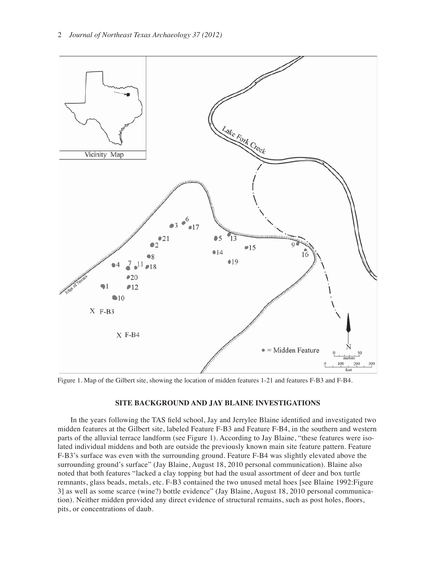

Figure 1. Map of the Gilbert site, showing the location of midden features 1-21 and features F-B3 and F-B4.

### **SITE BACKGROUND AND JAY BLAINE INVESTIGATIONS**

In the years following the TAS field school, Jay and Jerrylee Blaine identified and investigated two midden features at the Gilbert site, labeled Feature F-B3 and Feature F-B4, in the southern and western parts of the alluvial terrace landform (see Figure 1). According to Jay Blaine, "these features were isolated individual middens and both are outside the previously known main site feature pattern. Feature F-B3's surface was even with the surrounding ground. Feature F-B4 was slightly elevated above the surrounding ground's surface" (Jay Blaine, August 18, 2010 personal communication). Blaine also noted that both features "lacked a clay topping but had the usual assortment of deer and box turtle remnants, glass beads, metals, etc. F-B3 contained the two unused metal hoes [see Blaine 1992:Figure 3] as well as some scarce (wine?) bottle evidence" (Jay Blaine, August 18, 2010 personal communication). Neither midden provided any direct evidence of structural remains, such as post holes, floors, pits, or concentrations of daub.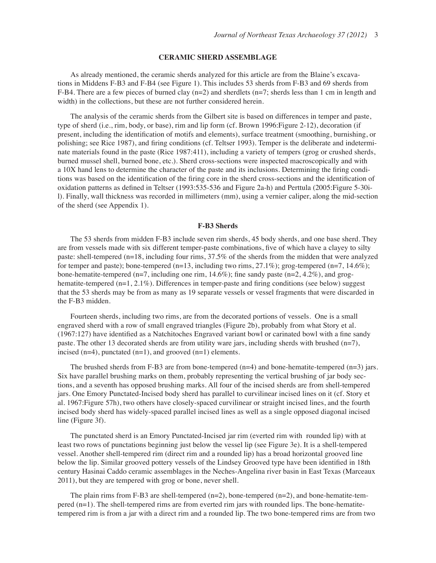#### **CERAMIC SHERD ASSEMBLAGE**

As already mentioned, the ceramic sherds analyzed for this article are from the Blaine's excavations in Middens F-B3 and F-B4 (see Figure 1). This includes 53 sherds from F-B3 and 69 sherds from F-B4. There are a few pieces of burned clay  $(n=2)$  and sherdlets  $(n=7)$ ; sherds less than 1 cm in length and width) in the collections, but these are not further considered herein.

The analysis of the ceramic sherds from the Gilbert site is based on differences in temper and paste, type of sherd (i.e., rim, body, or base), rim and lip form (cf. Brown 1996:Figure 2-12), decoration (if present, including the identification of motifs and elements), surface treatment (smoothing, burnishing, or polishing; see Rice 1987), and firing conditions (cf. Teltser 1993). Temper is the deliberate and indeterminate materials found in the paste (Rice 1987:411), including a variety of tempers (grog or crushed sherds, burned mussel shell, burned bone, etc.). Sherd cross-sections were inspected macroscopically and with a 10X hand lens to determine the character of the paste and its inclusions. Determining the firing conditions was based on the identification of the firing core in the sherd cross-sections and the identification of oxidation patterns as defined in Teltser (1993:535-536 and Figure 2a-h) and Perttula (2005: Figure 5-30il). Finally, wall thickness was recorded in millimeters (mm), using a vernier caliper, along the mid-section of the sherd (see Appendix 1).

#### **F-B3 Sherds**

The 53 sherds from midden F-B3 include seven rim sherds, 45 body sherds, and one base sherd. They are from vessels made with six different temper-paste combinations, five of which have a clayey to silty paste: shell-tempered (n=18, including four rims, 37.5% of the sherds from the midden that were analyzed for temper and paste); bone-tempered (n=13, including two rims, 27.1%); grog-tempered (n=7, 14.6%); bone-hematite-tempered (n=7, including one rim,  $14.6\%$ ); fine sandy paste (n=2, 4.2%), and groghematite-tempered  $(n=1, 2.1\%)$ . Differences in temper-paste and firing conditions (see below) suggest that the 53 sherds may be from as many as 19 separate vessels or vessel fragments that were discarded in the F-B3 midden.

Fourteen sherds, including two rims, are from the decorated portions of vessels. One is a small engraved sherd with a row of small engraved triangles (Figure 2b), probably from what Story et al.  $(1967:127)$  have identified as a Natchitoches Engraved variant bowl or carinated bowl with a fine sandy paste. The other 13 decorated sherds are from utility ware jars, including sherds with brushed  $(n=7)$ , incised (n=4), punctated (n=1), and grooved (n=1) elements.

The brushed sherds from F-B3 are from bone-tempered  $(n=4)$  and bone-hematite-tempered  $(n=3)$  jars. Six have parallel brushing marks on them, probably representing the vertical brushing of jar body sections, and a seventh has opposed brushing marks. All four of the incised sherds are from shell-tempered jars. One Emory Punctated-Incised body sherd has parallel to curvilinear incised lines on it (cf. Story et al. 1967:Figure 57h), two others have closely-spaced curvilinear or straight incised lines, and the fourth incised body sherd has widely-spaced parallel incised lines as well as a single opposed diagonal incised line (Figure 3f).

The punctated sherd is an Emory Punctated-Incised jar rim (everted rim with rounded lip) with at least two rows of punctations beginning just below the vessel lip (see Figure 3e). It is a shell-tempered vessel. Another shell-tempered rim (direct rim and a rounded lip) has a broad horizontal grooved line below the lip. Similar grooved pottery vessels of the Lindsey Grooved type have been identified in 18th century Hasinai Caddo ceramic assemblages in the Neches-Angelina river basin in East Texas (Marceaux 2011), but they are tempered with grog or bone, never shell.

The plain rims from F-B3 are shell-tempered  $(n=2)$ , bone-tempered  $(n=2)$ , and bone-hematite-tempered (n=1). The shell-tempered rims are from everted rim jars with rounded lips. The bone-hematitetempered rim is from a jar with a direct rim and a rounded lip. The two bone-tempered rims are from two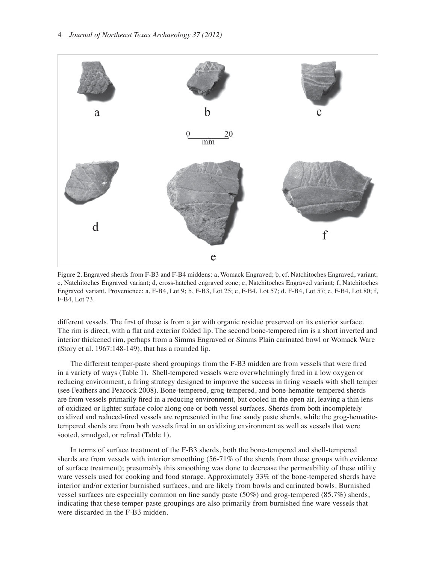

Figure 2. Engraved sherds from F-B3 and F-B4 middens: a, Womack Engraved; b, cf. Natchitoches Engraved, variant; c, Natchitoches Engraved variant; d, cross-hatched engraved zone; e, Natchitoches Engraved variant; f, Natchitoches Engraved variant. Provenience: a, F-B4, Lot 9; b, F-B3, Lot 25; c, F-B4, Lot 57; d, F-B4, Lot 57; e, F-B4, Lot 80; f, F-B4, Lot 73.

different vessels. The first of these is from a jar with organic residue preserved on its exterior surface. The rim is direct, with a flat and exterior folded lip. The second bone-tempered rim is a short inverted and interior thickened rim, perhaps from a Simms Engraved or Simms Plain carinated bowl or Womack Ware (Story et al. 1967:148-149), that has a rounded lip.

The different temper-paste sherd groupings from the F-B3 midden are from vessels that were fired in a variety of ways (Table 1). Shell-tempered vessels were overwhelmingly fired in a low oxygen or reducing environment, a firing strategy designed to improve the success in firing vessels with shell temper (see Feathers and Peacock 2008). Bone-tempered, grog-tempered, and bone-hematite-tempered sherds are from vessels primarily fired in a reducing environment, but cooled in the open air, leaving a thin lens of oxidized or lighter surface color along one or both vessel surfaces. Sherds from both incompletely oxidized and reduced-fired vessels are represented in the fine sandy paste sherds, while the grog-hematitetempered sherds are from both vessels fired in an oxidizing environment as well as vessels that were sooted, smudged, or refired (Table 1).

In terms of surface treatment of the F-B3 sherds, both the bone-tempered and shell-tempered sherds are from vessels with interior smoothing (56-71% of the sherds from these groups with evidence of surface treatment); presumably this smoothing was done to decrease the permeability of these utility ware vessels used for cooking and food storage. Approximately 33% of the bone-tempered sherds have interior and/or exterior burnished surfaces, and are likely from bowls and carinated bowls. Burnished vessel surfaces are especially common on fine sandy paste  $(50%)$  and grog-tempered  $(85.7%)$  sherds, indicating that these temper-paste groupings are also primarily from burnished fine ware vessels that were discarded in the F-B3 midden.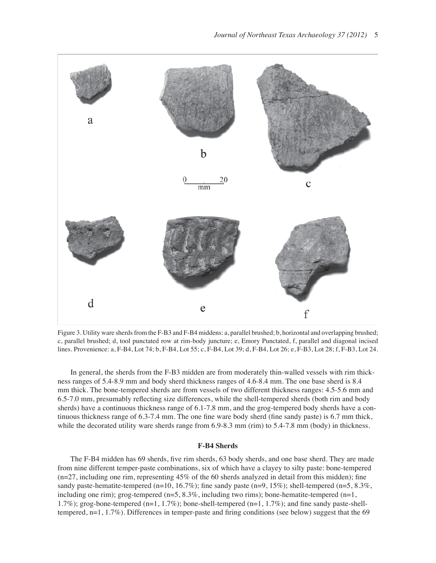

Figure 3. Utility ware sherds from the F-B3 and F-B4 middens: a, parallel brushed; b, horizontal and overlapping brushed; c, parallel brushed; d, tool punctated row at rim-body juncture; e, Emory Punctated, f, parallel and diagonal incised lines. Provenience: a, F-B4, Lot 74; b, F-B4, Lot 55; c, F-B4, Lot 39; d, F-B4, Lot 26; e, F-B3, Lot 28; f, F-B3, Lot 24.

In general, the sherds from the F-B3 midden are from moderately thin-walled vessels with rim thickness ranges of 5.4-8.9 mm and body sherd thickness ranges of 4.6-8.4 mm. The one base sherd is 8.4 mm thick. The bone-tempered sherds are from vessels of two different thickness ranges: 4.5-5.6 mm and 6.5-7.0 mm, presumably reflecting size differences, while the shell-tempered sherds (both rim and body sherds) have a continuous thickness range of 6.1-7.8 mm, and the grog-tempered body sherds have a continuous thickness range of  $6.3$ -7.4 mm. The one fine ware body sherd (fine sandy paste) is  $6.7$  mm thick, while the decorated utility ware sherds range from 6.9-8.3 mm (rim) to 5.4-7.8 mm (body) in thickness.

#### **F-B4 Sherds**

The F-B4 midden has 69 sherds, five rim sherds, 63 body sherds, and one base sherd. They are made from nine different temper-paste combinations, six of which have a clayey to silty paste: bone-tempered  $(n=27,$  including one rim, representing  $45\%$  of the 60 sherds analyzed in detail from this midden); fine sandy paste-hematite-tempered (n=10, 16.7%); fine sandy paste (n=9, 15%); shell-tempered (n=5, 8.3%, including one rim); grog-tempered  $(n=5, 8.3\%$ , including two rims); bone-hematite-tempered  $(n=1, 1)$ 1.7%); grog-bone-tempered (n=1, 1.7%); bone-shell-tempered (n=1, 1.7%); and fine sandy paste-shelltempered,  $n=1, 1.7\%$ ). Differences in temper-paste and firing conditions (see below) suggest that the 69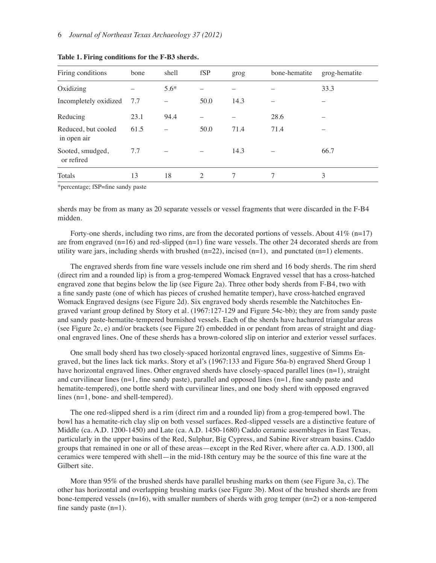| Firing conditions                  | bone | shell  | fSP  | grog | bone-hematite | grog-hematite |
|------------------------------------|------|--------|------|------|---------------|---------------|
| Oxidizing                          |      | $5.6*$ |      |      |               | 33.3          |
| Incompletely oxidized              | 7.7  |        | 50.0 | 14.3 |               |               |
| Reducing                           | 23.1 | 94.4   |      |      | 28.6          |               |
| Reduced, but cooled<br>in open air | 61.5 |        | 50.0 | 71.4 | 71.4          |               |
| Sooted, smudged,<br>or refired     | 7.7  |        |      | 14.3 |               | 66.7          |
| Totals                             | 13   | 18     | 2    | 7    | 7             | 3             |

**Table 1. Firing conditions for the F-B3 sherds.**

\*percentage; fSP=fine sandy paste

sherds may be from as many as 20 separate vessels or vessel fragments that were discarded in the F-B4 midden.

Forty-one sherds, including two rims, are from the decorated portions of vessels. About  $41\%$  (n=17) are from engraved  $(n=16)$  and red-slipped  $(n=1)$  fine ware vessels. The other 24 decorated sherds are from utility ware jars, including sherds with brushed  $(n=22)$ , incised  $(n=1)$ , and punctated  $(n=1)$  elements.

The engraved sherds from fine ware vessels include one rim sherd and 16 body sherds. The rim sherd (direct rim and a rounded lip) is from a grog-tempered Womack Engraved vessel that has a cross-hatched engraved zone that begins below the lip (see Figure 2a). Three other body sherds from F-B4, two with a fine sandy paste (one of which has pieces of crushed hematite temper), have cross-hatched engraved Womack Engraved designs (see Figure 2d). Six engraved body sherds resemble the Natchitoches Engraved variant group defined by Story et al. (1967:127-129 and Figure 54c-bb); they are from sandy paste and sandy paste-hematite-tempered burnished vessels. Each of the sherds have hachured triangular areas (see Figure 2c, e) and/or brackets (see Figure 2f) embedded in or pendant from areas of straight and diagonal engraved lines. One of these sherds has a brown-colored slip on interior and exterior vessel surfaces.

One small body sherd has two closely-spaced horizontal engraved lines, suggestive of Simms Engraved, but the lines lack tick marks. Story et al's (1967:133 and Figure 56a-b) engraved Sherd Group 1 have horizontal engraved lines. Other engraved sherds have closely-spaced parallel lines (n=1), straight and curvilinear lines  $(n=1,$  fine sandy paste), parallel and opposed lines  $(n=1,$  fine sandy paste and hematite-tempered), one bottle sherd with curvilinear lines, and one body sherd with opposed engraved lines (n=1, bone- and shell-tempered).

The one red-slipped sherd is a rim (direct rim and a rounded lip) from a grog-tempered bowl. The bowl has a hematite-rich clay slip on both vessel surfaces. Red-slipped vessels are a distinctive feature of Middle (ca. A.D. 1200-1450) and Late (ca. A.D. 1450-1680) Caddo ceramic assemblages in East Texas, particularly in the upper basins of the Red, Sulphur, Big Cypress, and Sabine River stream basins. Caddo groups that remained in one or all of these areas—except in the Red River, where after ca. A.D. 1300, all ceramics were tempered with shell—in the mid-18th century may be the source of this fine ware at the Gilbert site.

More than 95% of the brushed sherds have parallel brushing marks on them (see Figure 3a, c). The other has horizontal and overlapping brushing marks (see Figure 3b). Most of the brushed sherds are from bone-tempered vessels  $(n=16)$ , with smaller numbers of sherds with grog temper  $(n=2)$  or a non-tempered fine sandy paste  $(n=1)$ .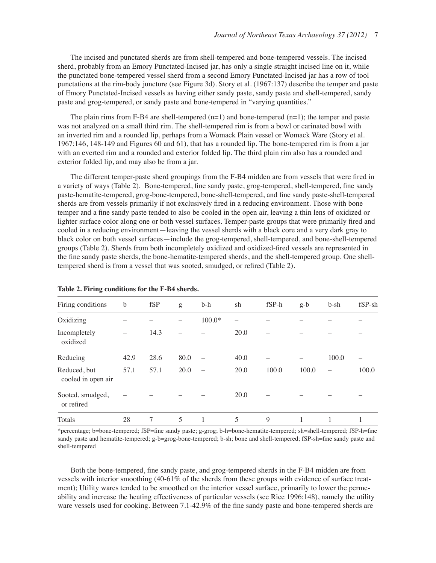The incised and punctated sherds are from shell-tempered and bone-tempered vessels. The incised sherd, probably from an Emory Punctated-Incised jar, has only a single straight incised line on it, while the punctated bone-tempered vessel sherd from a second Emory Punctated-Incised jar has a row of tool punctations at the rim-body juncture (see Figure 3d). Story et al. (1967:137) describe the temper and paste of Emory Punctated-Incised vessels as having either sandy paste, sandy paste and shell-tempered, sandy paste and grog-tempered, or sandy paste and bone-tempered in "varying quantities."

The plain rims from F-B4 are shell-tempered  $(n=1)$  and bone-tempered  $(n=1)$ ; the temper and paste was not analyzed on a small third rim. The shell-tempered rim is from a bowl or carinated bowl with an inverted rim and a rounded lip, perhaps from a Womack Plain vessel or Womack Ware (Story et al. 1967:146, 148-149 and Figures 60 and 61), that has a rounded lip. The bone-tempered rim is from a jar with an everted rim and a rounded and exterior folded lip. The third plain rim also has a rounded and exterior folded lip, and may also be from a jar.

The different temper-paste sherd groupings from the F-B4 midden are from vessels that were fired in a variety of ways (Table 2). Bone-tempered, fine sandy paste, grog-tempered, shell-tempered, fine sandy paste-hematite-tempered, grog-bone-tempered, bone-shell-tempered, and fine sandy paste-shell-tempered sherds are from vessels primarily if not exclusively fired in a reducing environment. Those with bone temper and a fine sandy paste tended to also be cooled in the open air, leaving a thin lens of oxidized or lighter surface color along one or both vessel surfaces. Temper-paste groups that were primarily fired and cooled in a reducing environment—leaving the vessel sherds with a black core and a very dark gray to black color on both vessel surfaces—include the grog-tempered, shell-tempered, and bone-shell-tempered groups (Table 2). Sherds from both incompletely oxidized and oxidized-fired vessels are represented in the fine sandy paste sherds, the bone-hematite-tempered sherds, and the shell-tempered group. One shelltempered sherd is from a vessel that was sooted, smudged, or refired (Table 2).

| Firing conditions                  | b    | fSP  | g    | b-h                      | sh   | $fSP-h$ | $g-b$ | $b$ -sh                  | fSP-sh |
|------------------------------------|------|------|------|--------------------------|------|---------|-------|--------------------------|--------|
| Oxidizing                          |      |      |      | $100.0*$                 |      |         |       |                          |        |
| Incompletely<br>oxidized           |      | 14.3 |      |                          | 20.0 |         |       |                          |        |
| Reducing                           | 42.9 | 28.6 | 80.0 | $\overline{\phantom{0}}$ | 40.0 |         |       | 100.0                    |        |
| Reduced, but<br>cooled in open air | 57.1 | 57.1 | 20.0 |                          | 20.0 | 100.0   | 100.0 | $\overline{\phantom{0}}$ | 100.0  |
| Sooted, smudged,<br>or refired     |      |      |      |                          | 20.0 |         |       |                          |        |
| Totals                             | 28   | 7    | 5    |                          | 5    | 9       |       | 1                        |        |

#### **Table 2. Firing conditions for the F-B4 sherds.**

\*percentage; b=bone-tempered; fSP=fine sandy paste; g-grog; b-h=bone-hematite-tempered; sh=shell-tempered; fSP-h=fine sandy paste and hematite-tempered; g-b=grog-bone-tempered; b-sh; bone and shell-tempered; fSP-sh=fine sandy paste and shell-tempered

Both the bone-tempered, fine sandy paste, and grog-tempered sherds in the F-B4 midden are from vessels with interior smoothing (40-61% of the sherds from these groups with evidence of surface treatment); Utility wares tended to be smoothed on the interior vessel surface, primarily to lower the permeability and increase the heating effectiveness of particular vessels (see Rice 1996:148), namely the utility ware vessels used for cooking. Between 7.1-42.9% of the fine sandy paste and bone-tempered sherds are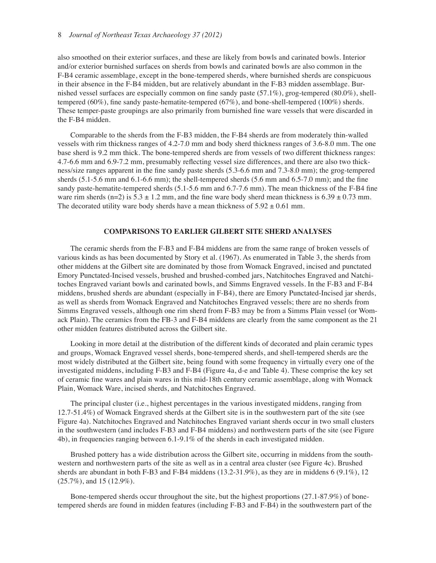#### 8 *Journal of Northeast Texas Archaeology 37 (2012)*

also smoothed on their exterior surfaces, and these are likely from bowls and carinated bowls. Interior and/or exterior burnished surfaces on sherds from bowls and carinated bowls are also common in the F-B4 ceramic assemblage, except in the bone-tempered sherds, where burnished sherds are conspicuous in their absence in the F-B4 midden, but are relatively abundant in the F-B3 midden assemblage. Burnished vessel surfaces are especially common on fine sandy paste  $(57.1\%)$ , grog-tempered  $(80.0\%)$ , shelltempered (60%), fine sandy paste-hematite-tempered (67%), and bone-shell-tempered (100%) sherds. These temper-paste groupings are also primarily from burnished fine ware vessels that were discarded in the F-B4 midden.

Comparable to the sherds from the F-B3 midden, the F-B4 sherds are from moderately thin-walled vessels with rim thickness ranges of 4.2-7.0 mm and body sherd thickness ranges of 3.6-8.0 mm. The one base sherd is 9.2 mm thick. The bone-tempered sherds are from vessels of two different thickness ranges: 4.7-6.6 mm and 6.9-7.2 mm, presumably reflecting vessel size differences, and there are also two thickness/size ranges apparent in the fine sandy paste sherds  $(5.3{\text -}6.6 \text{ mm}$  and  $7.3{\text -}8.0 \text{ mm})$ ; the grog-tempered sherds  $(5.1-5.6 \text{ mm}$  and  $6.1-6.6 \text{ mm}$ ; the shell-tempered sherds  $(5.6 \text{ mm}$  and  $6.5-7.0 \text{ mm}$ ; and the fine sandy paste-hematite-tempered sherds  $(5.1-5.6 \text{ mm}$  and  $6.7-7.6 \text{ mm})$ . The mean thickness of the F-B4 fine ware rim sherds (n=2) is  $5.3 \pm 1.2$  mm, and the fine ware body sherd mean thickness is  $6.39 \pm 0.73$  mm. The decorated utility ware body sherds have a mean thickness of  $5.92 \pm 0.61$  mm.

#### **COMPARISONS TO EARLIER GILBERT SITE SHERD ANALYSES**

The ceramic sherds from the F-B3 and F-B4 middens are from the same range of broken vessels of various kinds as has been documented by Story et al. (1967). As enumerated in Table 3, the sherds from other middens at the Gilbert site are dominated by those from Womack Engraved, incised and punctated Emory Punctated-Incised vessels, brushed and brushed-combed jars, Natchitoches Engraved and Natchitoches Engraved variant bowls and carinated bowls, and Simms Engraved vessels. In the F-B3 and F-B4 middens, brushed sherds are abundant (especially in F-B4), there are Emory Punctated-Incised jar sherds, as well as sherds from Womack Engraved and Natchitoches Engraved vessels; there are no sherds from Simms Engraved vessels, although one rim sherd from F-B3 may be from a Simms Plain vessel (or Womack Plain). The ceramics from the FB-3 and F-B4 middens are clearly from the same component as the 21 other midden features distributed across the Gilbert site.

Looking in more detail at the distribution of the different kinds of decorated and plain ceramic types and groups, Womack Engraved vessel sherds, bone-tempered sherds, and shell-tempered sherds are the most widely distributed at the Gilbert site, being found with some frequency in virtually every one of the investigated middens, including F-B3 and F-B4 (Figure 4a, d-e and Table 4). These comprise the key set of ceramic fine wares and plain wares in this mid-18th century ceramic assemblage, along with Womack Plain, Womack Ware, incised sherds, and Natchitoches Engraved.

The principal cluster (i.e., highest percentages in the various investigated middens, ranging from 12.7-51.4%) of Womack Engraved sherds at the Gilbert site is in the southwestern part of the site (see Figure 4a). Natchitoches Engraved and Natchitoches Engraved variant sherds occur in two small clusters in the southwestern (and includes F-B3 and F-B4 middens) and northwestern parts of the site (see Figure 4b), in frequencies ranging between 6.1-9.1% of the sherds in each investigated midden.

Brushed pottery has a wide distribution across the Gilbert site, occurring in middens from the southwestern and northwestern parts of the site as well as in a central area cluster (see Figure 4c). Brushed sherds are abundant in both F-B3 and F-B4 middens (13.2-31.9%), as they are in middens 6 (9.1%), 12 (25.7%), and 15 (12.9%).

Bone-tempered sherds occur throughout the site, but the highest proportions (27.1-87.9%) of bonetempered sherds are found in midden features (including F-B3 and F-B4) in the southwestern part of the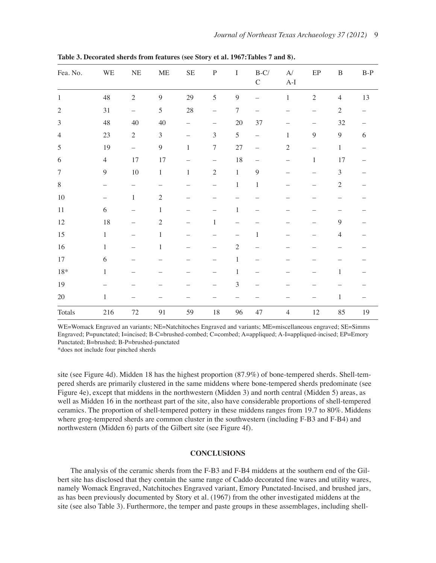| Fea. No.       | WE                       | $\rm NE$          | <b>ME</b>      | $\rm SE$     | ${\bf P}$                | I              | $\mbox{B-C}/\mbox{}$<br>$\mathsf C$ | $\mathbf{A}^{\prime}$<br>$\mathrm{A}\text{-}\mathrm{I}$ | $\rm EP$                 | $\, {\bf B}$     | $B-P$      |
|----------------|--------------------------|-------------------|----------------|--------------|--------------------------|----------------|-------------------------------------|---------------------------------------------------------|--------------------------|------------------|------------|
| $\,1\,$        | 48                       | $\sqrt{2}$        | $\mathbf{9}$   | 29           | 5                        | $\overline{9}$ |                                     | $\mathbf{1}$                                            | $\sqrt{2}$               | $\overline{4}$   | 13         |
| $\sqrt{2}$     | $31\,$                   | -                 | $\sqrt{5}$     | $28\,$       | $\overline{\phantom{0}}$ | $\overline{7}$ |                                     |                                                         | $\overline{\phantom{0}}$ | $\sqrt{2}$       |            |
| $\mathfrak{Z}$ | 48                       | $40\,$            | $40\,$         |              |                          | $20\,$         | $37\,$                              |                                                         |                          | $32\,$           |            |
| $\overline{4}$ | 23                       | $\sqrt{2}$        | $\mathfrak{Z}$ |              | 3                        | 5              |                                     | $\mathbf{1}$                                            | $\mathbf{9}$             | $\boldsymbol{9}$ | $\sqrt{6}$ |
| $\sqrt{5}$     | 19                       | $\qquad \qquad -$ | $\mathbf{9}$   | $\,1\,$      | $\boldsymbol{7}$         | 27             |                                     | $\sqrt{2}$                                              |                          | $\,1$            |            |
| 6              | $\overline{4}$           | 17                | 17             |              | $\overline{\phantom{0}}$ | $18\,$         |                                     | $\overline{\phantom{0}}$                                | $\mathbf{1}$             | 17               |            |
| $\tau$         | 9                        | $10\,$            | $\mathbf{1}$   | $\mathbf{1}$ | $\overline{2}$           | $\mathbf{1}$   | 9                                   |                                                         |                          | $\mathfrak{Z}$   |            |
| $8\,$          | -                        |                   |                |              | —                        | $\mathbf{1}$   | $\,1\,$                             |                                                         |                          | $\sqrt{2}$       |            |
| $10\,$         | $\overline{\phantom{0}}$ | $\mathbf{1}$      | $\sqrt{2}$     |              |                          |                |                                     |                                                         |                          |                  |            |
| $11\,$         | 6                        |                   | $\mathbf{1}$   |              |                          | 1              |                                     |                                                         |                          |                  |            |
| $12\,$         | 18                       |                   | $\sqrt{2}$     |              | $\mathbf{1}$             |                |                                     |                                                         |                          | $\overline{9}$   |            |
| 15             | $\mathbf{1}$             |                   | $\,1$          |              |                          | —              | $\mathbf{1}$                        |                                                         |                          | $\overline{4}$   |            |
| $16\,$         | $\mathbf{1}$             |                   | $\mathbf{1}$   |              |                          | $\sqrt{2}$     |                                     |                                                         |                          |                  |            |
| $17\,$         | $\sqrt{6}$               |                   |                |              |                          | $\mathbf{1}$   |                                     |                                                         |                          |                  |            |
| $18\,*$        | $\mathbf{1}$             |                   |                |              |                          | $\,1$          |                                     |                                                         |                          | 1                |            |
| $19\,$         |                          |                   |                |              |                          | 3              |                                     |                                                         |                          |                  |            |
| 20             | $\mathbf{1}$             |                   |                |              |                          |                |                                     |                                                         |                          | $\mathbf{1}$     |            |
| Totals         | 216                      | $72\,$            | 91             | 59           | $18\,$                   | 96             | 47                                  | $\overline{4}$                                          | $12\,$                   | 85               | 19         |

**Table 3. Decorated sherds from features (see Story et al. 1967:Tables 7 and 8).**

WE=Womack Engraved an variants; NE=Natchitoches Engraved and variants; ME=miscellaneous engraved; SE=Simms Engraved; P=punctated; I=incised; B-C=brushed-combed; C=combed; A=appliqued; A-I=appliqued-incised; EP=Emory Punctated; B=brushed; B-P=brushed-punctated

\*does not include four pinched sherds

site (see Figure 4d). Midden 18 has the highest proportion (87.9%) of bone-tempered sherds. Shell-tempered sherds are primarily clustered in the same middens where bone-tempered sherds predominate (see Figure 4e), except that middens in the northwestern (Midden 3) and north central (Midden 5) areas, as well as Midden 16 in the northeast part of the site, also have considerable proportions of shell-tempered ceramics. The proportion of shell-tempered pottery in these middens ranges from 19.7 to 80%. Middens where grog-tempered sherds are common cluster in the southwestern (including F-B3 and F-B4) and northwestern (Midden 6) parts of the Gilbert site (see Figure 4f).

### **CONCLUSIONS**

The analysis of the ceramic sherds from the F-B3 and F-B4 middens at the southern end of the Gilbert site has disclosed that they contain the same range of Caddo decorated fine wares and utility wares, namely Womack Engraved, Natchitoches Engraved variant, Emory Punctated-Incised, and brushed jars, as has been previously documented by Story et al. (1967) from the other investigated middens at the site (see also Table 3). Furthermore, the temper and paste groups in these assemblages, including shell-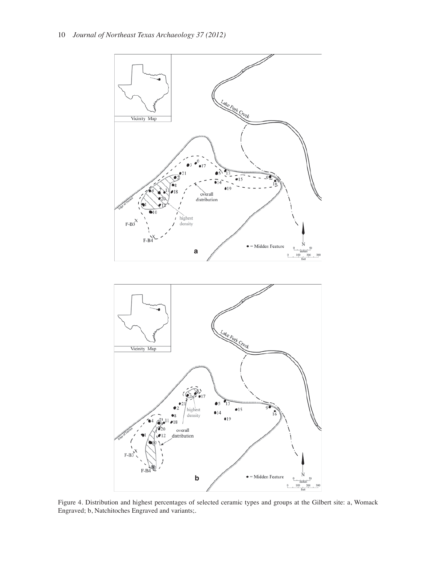

Figure 4. Distribution and highest percentages of selected ceramic types and groups at the Gilbert site: a, Womack Engraved; b, Natchitoches Engraved and variants;.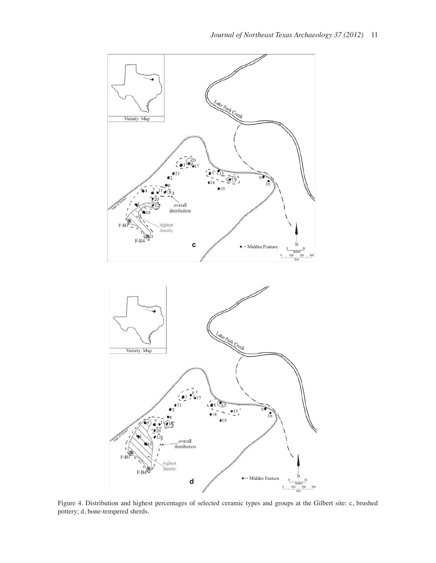

Figure 4. Distribution and highest percentages of selected ceramic types and groups at the Gilbert site: c, brushed pottery; d, bone-tempered sherds.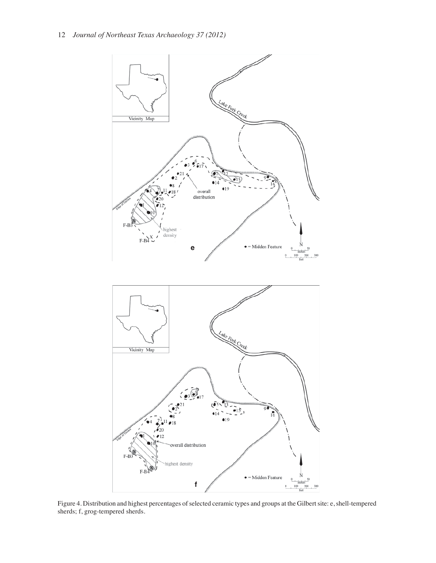

Figure 4. Distribution and highest percentages of selected ceramic types and groups at the Gilbert site: e, shell-tempered sherds; f, grog-tempered sherds.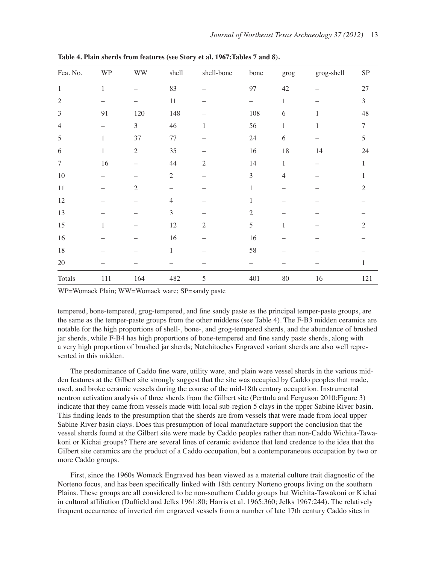| Fea. No.       | <b>WP</b>    | <b>WW</b>      | shell          | shell-bone     | bone                     | grog           | grog-shell | ${\rm SP}$     |
|----------------|--------------|----------------|----------------|----------------|--------------------------|----------------|------------|----------------|
| $\mathbf{1}$   | $\mathbf{1}$ | -              | 83             |                | 97                       | $42\,$         |            | $27\,$         |
| $\mathfrak{2}$ |              |                | $11\,$         |                | $\overline{\phantom{0}}$ | $\mathbf{1}$   |            | $\overline{3}$ |
| $\mathfrak{Z}$ | 91           | 120            | 148            |                | 108                      | 6              | 1          | 48             |
| $\overline{4}$ |              | $\mathfrak{Z}$ | 46             | $\mathbf{1}$   | 56                       | $\mathbf{1}$   | 1          | $\overline{7}$ |
| 5              | 1            | 37             | 77             |                | 24                       | 6              |            | 5              |
| 6              | $\mathbf{1}$ | $\overline{2}$ | 35             |                | 16                       | $18\,$         | 14         | 24             |
| $\tau$         | $16\,$       |                | 44             | $\mathfrak{2}$ | 14                       | $\mathbf{1}$   |            | $\mathbf{1}$   |
| $10\,$         |              |                | $\overline{2}$ |                | 3                        | $\overline{4}$ |            | 1              |
| $11\,$         |              | $\sqrt{2}$     |                |                | 1                        |                |            | $\overline{2}$ |
| 12             |              |                | $\overline{4}$ |                | $\mathbf{1}$             |                |            |                |
| 13             |              |                | $\mathfrak{Z}$ |                | $\mathfrak{2}$           |                |            |                |
| 15             | 1            |                | 12             | $\mathfrak{2}$ | 5                        | $\mathbf{1}$   |            | $\overline{c}$ |
| 16             |              |                | 16             |                | 16                       |                |            |                |
| $18\,$         |              |                | $\mathbf{1}$   |                | 58                       |                |            |                |
| $20\,$         |              |                |                |                |                          |                |            | 1              |
| Totals         | $111\,$      | 164            | 482            | $\sqrt{5}$     | 401                      | $80\,$         | 16         | 121            |

**Table 4. Plain sherds from features (see Story et al. 1967:Tables 7 and 8).**

WP=Womack Plain; WW=Womack ware; SP=sandy paste

tempered, bone-tempered, grog-tempered, and fine sandy paste as the principal temper-paste groups, are the same as the temper-paste groups from the other middens (see Table 4). The F-B3 midden ceramics are notable for the high proportions of shell-, bone-, and grog-tempered sherds, and the abundance of brushed jar sherds, while F-B4 has high proportions of bone-tempered and fine sandy paste sherds, along with a very high proportion of brushed jar sherds; Natchitoches Engraved variant sherds are also well represented in this midden.

The predominance of Caddo fine ware, utility ware, and plain ware vessel sherds in the various midden features at the Gilbert site strongly suggest that the site was occupied by Caddo peoples that made, used, and broke ceramic vessels during the course of the mid-18th century occupation. Instrumental neutron activation analysis of three sherds from the Gilbert site (Perttula and Ferguson 2010:Figure 3) indicate that they came from vessels made with local sub-region 5 clays in the upper Sabine River basin. This finding leads to the presumption that the sherds are from vessels that were made from local upper Sabine River basin clays. Does this presumption of local manufacture support the conclusion that the vessel sherds found at the Gilbert site were made by Caddo peoples rather than non-Caddo Wichita-Tawakoni or Kichai groups? There are several lines of ceramic evidence that lend credence to the idea that the Gilbert site ceramics are the product of a Caddo occupation, but a contemporaneous occupation by two or more Caddo groups.

First, since the 1960s Womack Engraved has been viewed as a material culture trait diagnostic of the Norteno focus, and has been specifically linked with 18th century Norteno groups living on the southern Plains. These groups are all considered to be non-southern Caddo groups but Wichita-Tawakoni or Kichai in cultural affiliation (Duffield and Jelks 1961:80; Harris et al. 1965:360; Jelks 1967:244). The relatively frequent occurrence of inverted rim engraved vessels from a number of late 17th century Caddo sites in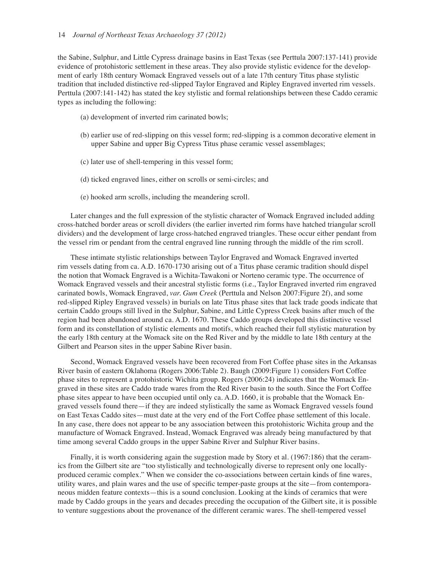the Sabine, Sulphur, and Little Cypress drainage basins in East Texas (see Perttula 2007:137-141) provide evidence of protohistoric settlement in these areas. They also provide stylistic evidence for the development of early 18th century Womack Engraved vessels out of a late 17th century Titus phase stylistic tradition that included distinctive red-slipped Taylor Engraved and Ripley Engraved inverted rim vessels. Perttula (2007:141-142) has stated the key stylistic and formal relationships between these Caddo ceramic types as including the following:

- (a) development of inverted rim carinated bowls;
- (b) earlier use of red-slipping on this vessel form; red-slipping is a common decorative element in upper Sabine and upper Big Cypress Titus phase ceramic vessel assemblages;
- (c) later use of shell-tempering in this vessel form;
- (d) ticked engraved lines, either on scrolls or semi-circles; and
- (e) hooked arm scrolls, including the meandering scroll.

Later changes and the full expression of the stylistic character of Womack Engraved included adding cross-hatched border areas or scroll dividers (the earlier inverted rim forms have hatched triangular scroll dividers) and the development of large cross-hatched engraved triangles. These occur either pendant from the vessel rim or pendant from the central engraved line running through the middle of the rim scroll.

These intimate stylistic relationships between Taylor Engraved and Womack Engraved inverted rim vessels dating from ca. A.D. 1670-1730 arising out of a Titus phase ceramic tradition should dispel the notion that Womack Engraved is a Wichita-Tawakoni or Norteno ceramic type. The occurrence of Womack Engraved vessels and their ancestral stylistic forms (i.e., Taylor Engraved inverted rim engraved carinated bowls, Womack Engraved, *var. Gum Creek* (Perttula and Nelson 2007:Figure 2f), and some red-slipped Ripley Engraved vessels) in burials on late Titus phase sites that lack trade goods indicate that certain Caddo groups still lived in the Sulphur, Sabine, and Little Cypress Creek basins after much of the region had been abandoned around ca. A.D. 1670. These Caddo groups developed this distinctive vessel form and its constellation of stylistic elements and motifs, which reached their full stylistic maturation by the early 18th century at the Womack site on the Red River and by the middle to late 18th century at the Gilbert and Pearson sites in the upper Sabine River basin.

Second, Womack Engraved vessels have been recovered from Fort Coffee phase sites in the Arkansas River basin of eastern Oklahoma (Rogers 2006:Table 2). Baugh (2009:Figure 1) considers Fort Coffee phase sites to represent a protohistoric Wichita group. Rogers (2006:24) indicates that the Womack Engraved in these sites are Caddo trade wares from the Red River basin to the south. Since the Fort Coffee phase sites appear to have been occupied until only ca. A.D. 1660, it is probable that the Womack Engraved vessels found there—if they are indeed stylistically the same as Womack Engraved vessels found on East Texas Caddo sites—must date at the very end of the Fort Coffee phase settlement of this locale. In any case, there does not appear to be any association between this protohistoric Wichita group and the manufacture of Womack Engraved. Instead, Womack Engraved was already being manufactured by that time among several Caddo groups in the upper Sabine River and Sulphur River basins.

Finally, it is worth considering again the suggestion made by Story et al. (1967:186) that the ceramics from the Gilbert site are "too stylistically and technologically diverse to represent only one locallyproduced ceramic complex." When we consider the co-associations between certain kinds of fine wares, utility wares, and plain wares and the use of specific temper-paste groups at the site—from contemporaneous midden feature contexts—this is a sound conclusion. Looking at the kinds of ceramics that were made by Caddo groups in the years and decades preceding the occupation of the Gilbert site, it is possible to venture suggestions about the provenance of the different ceramic wares. The shell-tempered vessel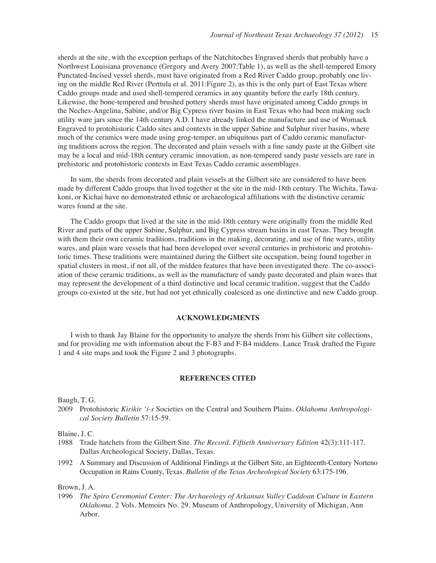sherds at the site, with the exception perhaps of the Natchitoches Engraved sherds that probably have a Northwest Louisiana provenance (Gregory and Avery 2007:Table 1), as well as the shell-tempered Emory Punctated-Incised vessel sherds, must have originated from a Red River Caddo group, probably one living on the middle Red River (Perttula et al. 2011:Figure 2), as this is the only part of East Texas where Caddo groups made and used shell-tempered ceramics in any quantity before the early 18th century. Likewise, the bone-tempered and brushed pottery sherds must have originated among Caddo groups in the Neches-Angelina, Sabine, and/or Big Cypress river basins in East Texas who had been making such utility ware jars since the 14th century A.D. I have already linked the manufacture and use of Womack Engraved to protohistoric Caddo sites and contexts in the upper Sabine and Sulphur river basins, where much of the ceramics were made using grog-temper, an ubiquitous part of Caddo ceramic manufacturing traditions across the region. The decorated and plain vessels with a fine sandy paste at the Gilbert site may be a local and mid-18th century ceramic innovation, as non-tempered sandy paste vessels are rare in prehistoric and protohistoric contexts in East Texas Caddo ceramic assemblages.

In sum, the sherds from decorated and plain vessels at the Gilbert site are considered to have been made by different Caddo groups that lived together at the site in the mid-18th century. The Wichita, Tawakoni, or Kichai have no demonstrated ethnic or archaeological affiliations with the distinctive ceramic wares found at the site.

The Caddo groups that lived at the site in the mid-18th century were originally from the middle Red River and parts of the upper Sabine, Sulphur, and Big Cypress stream basins in east Texas. They brought with them their own ceramic traditions, traditions in the making, decorating, and use of fine wares, utility wares, and plain ware vessels that had been developed over several centuries in prehistoric and protohistoric times. These traditions were maintained during the Gilbert site occupation, being found together in spatial clusters in most, if not all, of the midden features that have been investigated there. The co-association of these ceramic traditions, as well as the manufacture of sandy paste decorated and plain wares that may represent the development of a third distinctive and local ceramic tradition, suggest that the Caddo groups co-existed at the site, but had not yet ethnically coalesced as one distinctive and new Caddo group.

#### **ACKNOWLEDGMENTS**

I wish to thank Jay Blaine for the opportunity to analyze the sherds from his Gilbert site collections, and for providing me with information about the F-B3 and F-B4 middens. Lance Trask drafted the Figure 1 and 4 site maps and took the Figure 2 and 3 photographs.

#### **REFERENCES CITED**

Baugh, T. G.

2009 Protohistoric *Kirikir 'i-s* Societies on the Central and Southern Plains. *Oklahoma Anthropological Society Bulletin* 57:15-59.

Blaine, J. C.

- 1988 Trade hatchets from the Gilbert Site. *The Record, Fiftieth Anniversary Edition* 42(3):111-117. Dallas Archeological Society, Dallas, Texas.
- 1992 A Summary and Discussion of Additional Findings at the Gilbert Site, an Eighteenth-Century Norteno Occupation in Rains County, Texas. *Bulletin of the Texas Archeological Society* 63:175-196.

Brown, J. A.

1996 *The Spiro Ceremonial Center: The Archaeology of Arkansas Valley Caddoan Culture in Eastern Oklahoma*. 2 Vols. Memoirs No. 29. Museum of Anthropology, University of Michigan, Ann Arbor.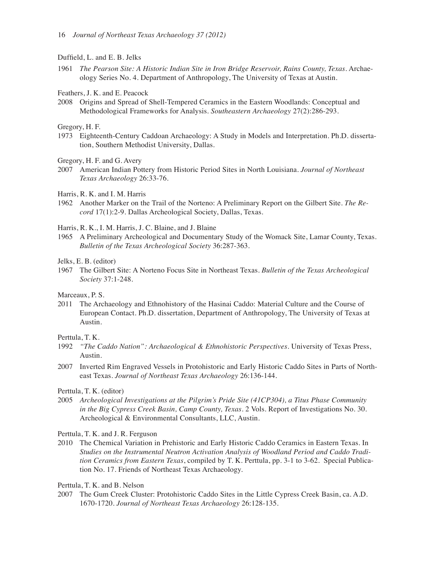Duffield, L. and E. B. Jelks

1961 *The Pearson Site: A Historic Indian Site in Iron Bridge Reservoir, Rains County, Texas*. Archaeology Series No. 4. Department of Anthropology, The University of Texas at Austin.

Feathers, J. K. and E. Peacock

2008 Origins and Spread of Shell-Tempered Ceramics in the Eastern Woodlands: Conceptual and Methodological Frameworks for Analysis. *Southeastern Archaeology* 27(2):286-293.

Gregory, H. F.

1973 Eighteenth-Century Caddoan Archaeology: A Study in Models and Interpretation. Ph.D. dissertation, Southern Methodist University, Dallas.

Gregory, H. F. and G. Avery

2007 American Indian Pottery from Historic Period Sites in North Louisiana. *Journal of Northeast Texas Archaeology* 26:33-76.

Harris, R. K. and I. M. Harris

1962 Another Marker on the Trail of the Norteno: A Preliminary Report on the Gilbert Site. *The Record* 17(1):2-9. Dallas Archeological Society, Dallas, Texas.

Harris, R. K., I. M. Harris, J. C. Blaine, and J. Blaine

1965 A Preliminary Archeological and Documentary Study of the Womack Site, Lamar County, Texas. *Bulletin of the Texas Archeological Society* 36:287-363.

#### Jelks, E. B. (editor)

1967 The Gilbert Site: A Norteno Focus Site in Northeast Texas. *Bulletin of the Texas Archeological Society* 37:1-248.

Marceaux, P. S.

2011 The Archaeology and Ethnohistory of the Hasinai Caddo: Material Culture and the Course of European Contact. Ph.D. dissertation, Department of Anthropology, The University of Texas at Austin.

Perttula, T. K.

- 1992 *"The Caddo Nation": Archaeological & Ethnohistoric Perspectives*. University of Texas Press, Austin.
- 2007 Inverted Rim Engraved Vessels in Protohistoric and Early Historic Caddo Sites in Parts of Northeast Texas. *Journal of Northeast Texas Archaeology* 26:136-144.

Perttula, T. K. (editor)

2005 *Archeological Investigations at the Pilgrim's Pride Site (41CP304), a Titus Phase Community in the Big Cypress Creek Basin, Camp County, Texas*. 2 Vols. Report of Investigations No. 30. Archeological & Environmental Consultants, LLC, Austin.

Perttula, T. K. and J. R. Ferguson

2010 The Chemical Variation in Prehistoric and Early Historic Caddo Ceramics in Eastern Texas. In *Studies on the Instrumental Neutron Activation Analysis of Woodland Period and Caddo Tradition Ceramics from Eastern Texas*, compiled by T. K. Perttula, pp. 3-1 to 3-62. Special Publication No. 17. Friends of Northeast Texas Archaeology.

Perttula, T. K. and B. Nelson

2007 The Gum Creek Cluster: Protohistoric Caddo Sites in the Little Cypress Creek Basin, ca. A.D. 1670-1720. *Journal of Northeast Texas Archaeology* 26:128-135.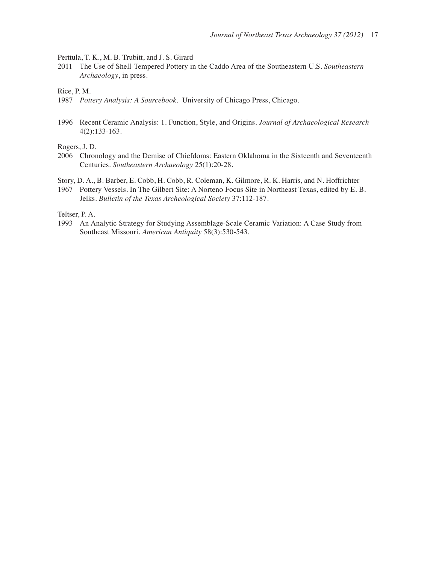Perttula, T. K., M. B. Trubitt, and J. S. Girard

2011 The Use of Shell-Tempered Pottery in the Caddo Area of the Southeastern U.S. *Southeastern Archaeology*, in press.

Rice, P. M.

- 1987 *Pottery Analysis: A Sourcebook*. University of Chicago Press, Chicago.
- 1996 Recent Ceramic Analysis: 1. Function, Style, and Origins. *Journal of Archaeological Research*  4(2):133-163.

Rogers, J. D.

2006 Chronology and the Demise of Chiefdoms: Eastern Oklahoma in the Sixteenth and Seventeenth Centuries. *Southeastern Archaeology* 25(1):20-28.

Story, D. A., B. Barber, E. Cobb, H. Cobb, R. Coleman, K. Gilmore, R. K. Harris, and N. Hoffrichter

1967 Pottery Vessels. In The Gilbert Site: A Norteno Focus Site in Northeast Texas, edited by E. B. Jelks. *Bulletin of the Texas Archeological Society* 37:112-187.

Teltser, P. A.

1993 An Analytic Strategy for Studying Assemblage-Scale Ceramic Variation: A Case Study from Southeast Missouri. *American Antiquity* 58(3):530-543.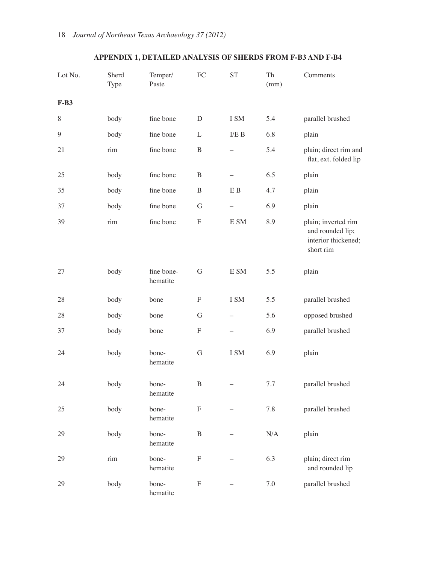| Lot No. | Sherd<br>Type                      | Temper/<br>Paste       | FC                        | <b>ST</b>                | Th<br>(mm) | Comments                                                                    |
|---------|------------------------------------|------------------------|---------------------------|--------------------------|------------|-----------------------------------------------------------------------------|
| $F-B3$  |                                    |                        |                           |                          |            |                                                                             |
| $8\,$   | body                               | fine bone              | $\mathbf D$               | I SM                     | 5.4        | parallel brushed                                                            |
| 9       | body                               | fine bone              | L                         | I/E B                    | 6.8        | plain                                                                       |
| 21      | $\ensuremath{\mathrm{rim}}\xspace$ | fine bone              | $\, {\bf B}$              |                          | 5.4        | plain; direct rim and<br>flat, ext. folded lip                              |
| 25      | body                               | fine bone              | $\, {\bf B}$              |                          | 6.5        | plain                                                                       |
| 35      | body                               | fine bone              | $\, {\bf B}$              | E B                      | 4.7        | plain                                                                       |
| 37      | body                               | fine bone              | $\mathbf G$               | $\qquad \qquad -$        | 6.9        | plain                                                                       |
| 39      | rim                                | fine bone              | ${\bf F}$                 | E SM                     | 8.9        | plain; inverted rim<br>and rounded lip;<br>interior thickened;<br>short rim |
| 27      | body                               | fine bone-<br>hematite | $\mathbf G$               | E SM                     | 5.5        | plain                                                                       |
| 28      | body                               | bone                   | $\boldsymbol{\mathrm{F}}$ | I SM                     | 5.5        | parallel brushed                                                            |
| 28      | body                               | bone                   | $\mathbf G$               |                          | 5.6        | opposed brushed                                                             |
| 37      | body                               | bone                   | ${\bf F}$                 | $\overline{\phantom{0}}$ | 6.9        | parallel brushed                                                            |
| 24      | body                               | bone-<br>hematite      | G                         | I SM                     | 6.9        | plain                                                                       |
| 24      | body                               | bone-<br>hematite      | $\boldsymbol{B}$          |                          | 7.7        | parallel brushed                                                            |
| 25      | body                               | bone-<br>hematite      | $\mathbf F$               |                          | $7.8\,$    | parallel brushed                                                            |
| 29      | body                               | bone-<br>hematite      | $\, {\bf B}$              |                          | $\rm N/A$  | plain                                                                       |
| 29      | rim                                | bone-<br>hematite      | ${\bf F}$                 |                          | 6.3        | plain; direct rim<br>and rounded lip                                        |
| 29      | body                               | bone-<br>hematite      | $\boldsymbol{\mathrm{F}}$ |                          | $7.0\,$    | parallel brushed                                                            |

# **APPENDIX 1, DETAILED ANALYSIS OF SHERDS FROM F-B3 AND F-B4**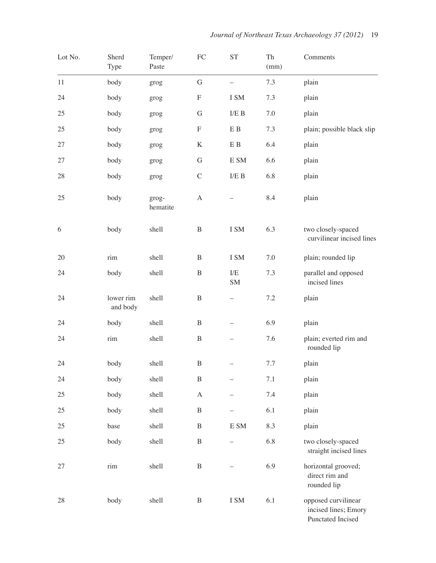| Lot No. | Sherd<br>Type         | Temper/<br>Paste  | ${\rm FC}$   | <b>ST</b>                  | ${\rm Th}$<br>(mm) | Comments                                                         |
|---------|-----------------------|-------------------|--------------|----------------------------|--------------------|------------------------------------------------------------------|
| 11      | body                  | grog              | ${\bf G}$    | $\overline{\phantom{0}}$   | 7.3                | plain                                                            |
| 24      | body                  | grog              | ${\bf F}$    | I SM                       | 7.3                | plain                                                            |
| 25      | body                  | grog              | $\mathbf G$  | $\rm I/E$ B                | 7.0                | plain                                                            |
| 25      | body                  | grog              | ${\bf F}$    | E B                        | 7.3                | plain; possible black slip                                       |
| 27      | body                  | grog              | $\rm K$      | E B                        | 6.4                | plain                                                            |
| 27      | body                  | grog              | G            | $\mathop{\hbox{\rm E}}$ SM | 6.6                | plain                                                            |
| $28\,$  | body                  | grog              | $\mathsf C$  | ${\rm I/E}$ B              | 6.8                | plain                                                            |
| 25      | body                  | grog-<br>hematite | $\mathbf{A}$ |                            | 8.4                | plain                                                            |
| 6       | body                  | shell             | $\, {\bf B}$ | I SM                       | 6.3                | two closely-spaced<br>curvilinear incised lines                  |
| 20      | rim                   | shell             | $\mathbf B$  | I SM                       | 7.0                | plain; rounded lip                                               |
| 24      | body                  | shell             | $\bf{B}$     | $\rm I/E$<br>SM            | 7.3                | parallel and opposed<br>incised lines                            |
| 24      | lower rim<br>and body | shell             | B            |                            | $7.2\,$            | plain                                                            |
| 24      | body                  | shell             | $\, {\bf B}$ |                            | 6.9                | plain                                                            |
| 24      | rim                   | shell             | $\, {\bf B}$ |                            | 7.6                | plain; everted rim and<br>rounded lip                            |
| 24      | body                  | shell             | B            |                            | 7.7                | plain                                                            |
| 24      | body                  | shell             | B            |                            | $7.1\,$            | plain                                                            |
| 25      | body                  | shell             | $\mathbf{A}$ |                            | $7.4\,$            | plain                                                            |
| 25      | body                  | shell             | B            |                            | 6.1                | plain                                                            |
| 25      | base                  | shell             | B            | $\mathop{\hbox{\rm E}}$ SM | 8.3                | plain                                                            |
| 25      | body                  | shell             | $\, {\bf B}$ | $\overline{\phantom{0}}$   | 6.8                | two closely-spaced<br>straight incised lines                     |
| 27      | rim                   | shell             | $\bf{B}$     |                            | 6.9                | horizontal grooved;<br>direct rim and<br>rounded lip             |
| $28\,$  | body                  | shell             | $\bf{B}$     | $\rm I~SM$                 | 6.1                | opposed curvilinear<br>incised lines; Emory<br>Punctated Incised |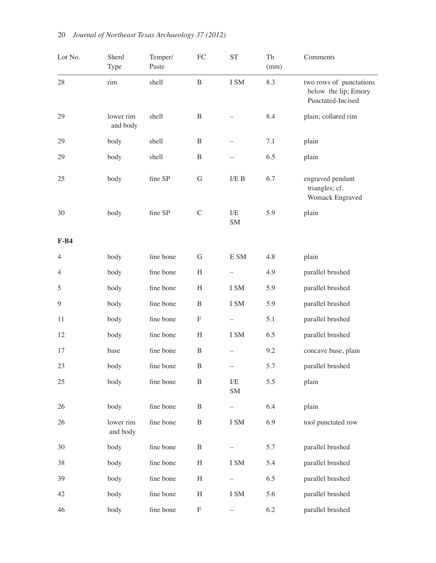| Lot No.        | Sherd<br>Type         | Temper/<br>Paste | FC                        | <b>ST</b>                | Th<br>(mm) | Comments                                                             |
|----------------|-----------------------|------------------|---------------------------|--------------------------|------------|----------------------------------------------------------------------|
| $28\,$         | rim                   | shell            | $\bf{B}$                  | I SM                     | 8.3        | two rows of punctations<br>below the lip; Emory<br>Punctated-Incised |
| 29             | lower rim<br>and body | shell            | $\, {\bf B}$              |                          | 8.4        | plain; collared rim                                                  |
| 29             | body                  | shell            | B                         |                          | 7.1        | plain                                                                |
| 29             | body                  | shell            | $\, {\bf B}$              | $\overline{\phantom{0}}$ | 6.5        | plain                                                                |
| 25             | body                  | fine SP          | G                         | $\rm I/E$ B              | 6.7        | engraved pendant<br>triangles; cf.<br>Womack Engraved                |
| 30             | body                  | fine SP          | $\mathcal{C}$             | $\rm I/E$<br>SM          | 5.9        | plain                                                                |
| $F-B4$         |                       |                  |                           |                          |            |                                                                      |
| $\overline{4}$ | body                  | fine bone        | G                         | E SM                     | 4.8        | plain                                                                |
| 4              | body                  | fine bone        | H                         | $\overline{\phantom{0}}$ | 4.9        | parallel brushed                                                     |
| 5              | body                  | fine bone        | H                         | I SM                     | 5.9        | parallel brushed                                                     |
| 9              | body                  | fine bone        | $\, {\bf B}$              | I SM                     | 5.9        | parallel brushed                                                     |
| 11             | body                  | fine bone        | F                         | $\overline{\phantom{0}}$ | 5.1        | parallel brushed                                                     |
| 12             | body                  | fine bone        | $\boldsymbol{\mathrm{H}}$ | I SM                     | 6.5        | parallel brushed                                                     |
| 17             | base                  | fine bone        | $\bf{B}$                  | $\overline{\phantom{0}}$ | 9.2        | concave base, plain                                                  |
| 23             | body                  | fine bone        | $\, {\bf B}$              | $\overline{\phantom{0}}$ | 5.7        | parallel brushed                                                     |
| 25             | body                  | fine bone        | $\, {\bf B}$              | $\rm I/E$<br><b>SM</b>   | 5.5        | plain                                                                |
| 26             | body                  | fine bone        | $\, {\bf B}$              | $\overline{\phantom{0}}$ | 6.4        | plain                                                                |
| 26             | lower rim<br>and body | fine bone        | $\, {\bf B}$              | I SM                     | 6.9        | tool punctated row                                                   |
| 30             | body                  | fine bone        | $\, {\bf B}$              |                          | 5.7        | parallel brushed                                                     |
| 38             | body                  | fine bone        | $\boldsymbol{\mathrm{H}}$ | I SM                     | 5.4        | parallel brushed                                                     |
| 39             | body                  | fine bone        | H                         |                          | 6.5        | parallel brushed                                                     |
| 42             | body                  | fine bone        | H                         | I SM                     | 5.6        | parallel brushed                                                     |
| 46             | body                  | fine bone        | ${\bf F}$                 |                          | 6.2        | parallel brushed                                                     |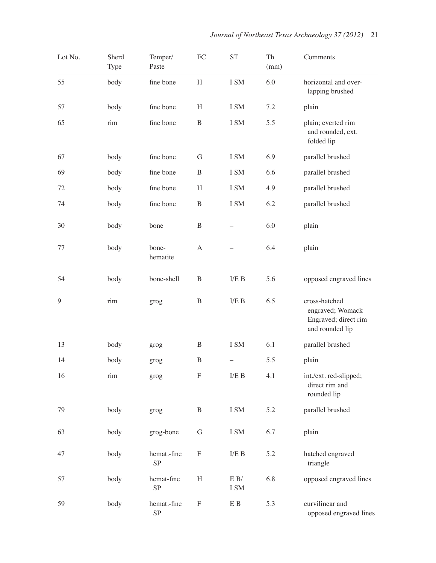| Lot No. | Sherd<br><b>Type</b> | Temper/<br>Paste         | ${\rm FC}$                | <b>ST</b>                | Th<br>(mm) | Comments                                                                     |
|---------|----------------------|--------------------------|---------------------------|--------------------------|------------|------------------------------------------------------------------------------|
| 55      | body                 | fine bone                | H                         | I SM                     | 6.0        | horizontal and over-<br>lapping brushed                                      |
| 57      | body                 | fine bone                | H                         | I SM                     | 7.2        | plain                                                                        |
| 65      | rim                  | fine bone                | $\, {\bf B}$              | I SM                     | 5.5        | plain; everted rim<br>and rounded, ext.<br>folded lip                        |
| 67      | body                 | fine bone                | G                         | I SM                     | 6.9        | parallel brushed                                                             |
| 69      | body                 | fine bone                | $\, {\bf B}$              | I SM                     | 6.6        | parallel brushed                                                             |
| 72      | body                 | fine bone                | H                         | I SM                     | 4.9        | parallel brushed                                                             |
| 74      | body                 | fine bone                | $\, {\bf B}$              | I SM                     | 6.2        | parallel brushed                                                             |
| 30      | body                 | bone                     | $\, {\bf B}$              |                          | 6.0        | plain                                                                        |
| 77      | body                 | bone-<br>hematite        | $\mathbf{A}$              |                          | 6.4        | plain                                                                        |
| 54      | body                 | bone-shell               | $\, {\bf B}$              | $\rm I/E$ B              | 5.6        | opposed engraved lines                                                       |
| 9       | rim                  | grog                     | $\, {\bf B}$              | $\rm I/E$ B              | 6.5        | cross-hatched<br>engraved; Womack<br>Engraved; direct rim<br>and rounded lip |
| 13      | body                 | grog                     | B                         | I SM                     | 6.1        | parallel brushed                                                             |
| 14      | body                 | grog                     | $\, {\bf B}$              | $\overline{\phantom{0}}$ | 5.5        | plain                                                                        |
| 16      | rim                  | grog                     | ${\bf F}$                 | $\rm I/E$ B              | 4.1        | int./ext.red-slipped;<br>direct rim and<br>rounded lip                       |
| 79      | body                 | grog                     | B                         | I SM                     | 5.2        | parallel brushed                                                             |
| 63      | body                 | grog-bone                | G                         | I SM                     | 6.7        | plain                                                                        |
| 47      | body                 | hemat.-fine<br>SP        | $\boldsymbol{\mathrm{F}}$ | $\rm I/E$ B              | 5.2        | hatched engraved<br>triangle                                                 |
| 57      | body                 | hemat-fine<br>SP         | H                         | E B/<br>I SM             | 6.8        | opposed engraved lines                                                       |
| 59      | body                 | hemat.-fine<br><b>SP</b> | $\boldsymbol{\mathrm{F}}$ | E B                      | 5.3        | curvilinear and<br>opposed engraved lines                                    |